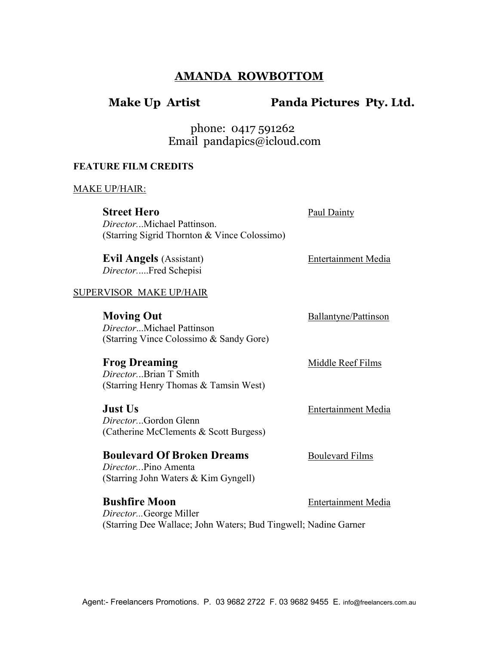# AMANDA ROWBOTTOM

# Make Up Artist Panda Pictures Pty. Ltd.

Paul Dainty

 phone: 0417 591262 Email pandapics@icloud.com

## FEATURE FILM CREDITS

### MAKE UP/HAIR:

| <b>Street Hero</b>                           |
|----------------------------------------------|
| <i>DirectorMichael Pattinson.</i>            |
| (Starring Sigrid Thornton & Vince Colossimo) |

Evil Angels (Assistant) Entertainment Media Director.....Fred Schepisi

### SUPERVISOR MAKE UP/HAIR

| <b>Moving Out</b>                       |
|-----------------------------------------|
| <i>DirectorMichael Pattinson</i>        |
| (Starring Vince Colossimo & Sandy Gore) |

Frog Dreaming Middle Reef Films

Ballantyne/Pattinson

Director...Brian T Smith (Starring Henry Thomas & Tamsin West)

**Just Us** Entertainment Media Director...Gordon Glenn (Catherine McClements & Scott Burgess)

**Boulevard Of Broken Dreams** Boulevard Films Director...Pino Amenta (Starring John Waters & Kim Gyngell)

Bushfire Moon Entertainment Media Director...George Miller (Starring Dee Wallace; John Waters; Bud Tingwell; Nadine Garner

Agent:- Freelancers Promotions. P. 03 9682 2722 F. 03 9682 9455 E. info@freelancers.com.au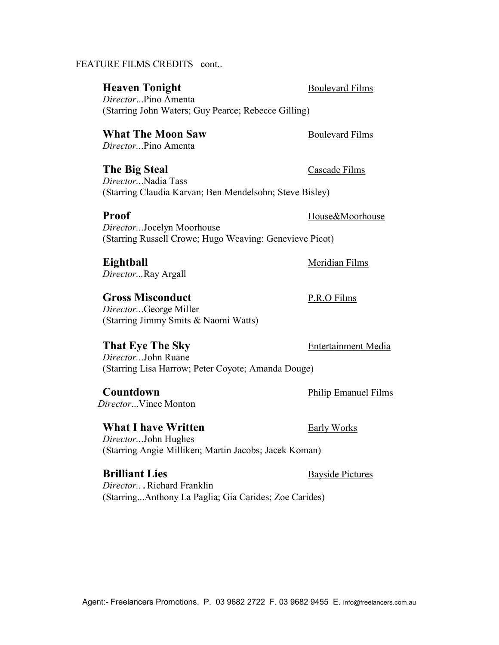## FEATURE FILMS CREDITS cont..

## **Heaven Tonight** Boulevard Films

Director...Pino Amenta (Starring John Waters; Guy Pearce; Rebecce Gilling)

## What The Moon Saw Boulevard Films

Director...Pino Amenta

The Big Steal Cascade Films Director...Nadia Tass (Starring Claudia Karvan; Ben Mendelsohn; Steve Bisley)

Director...Jocelyn Moorhouse (Starring Russell Crowe; Hugo Weaving: Genevieve Picot)

Eightball Meridian Films Director...Ray Argall

## Gross Misconduct P.R.O Films

Director...George Miller (Starring Jimmy Smits & Naomi Watts)

## That Eye The Sky Entertainment Media

Director...John Ruane (Starring Lisa Harrow; Peter Coyote; Amanda Douge)

Countdown Philip Emanuel Films Director...Vince Monton

## What I have Written Early Works

Director...John Hughes (Starring Angie Milliken; Martin Jacobs; Jacek Koman)

**Brilliant Lies** Bayside Pictures Director...Richard Franklin (Starring...Anthony La Paglia; Gia Carides; Zoe Carides)

Proof House & Moorhouse

Agent:- Freelancers Promotions. P. 03 9682 2722 F. 03 9682 9455 E. info@freelancers.com.au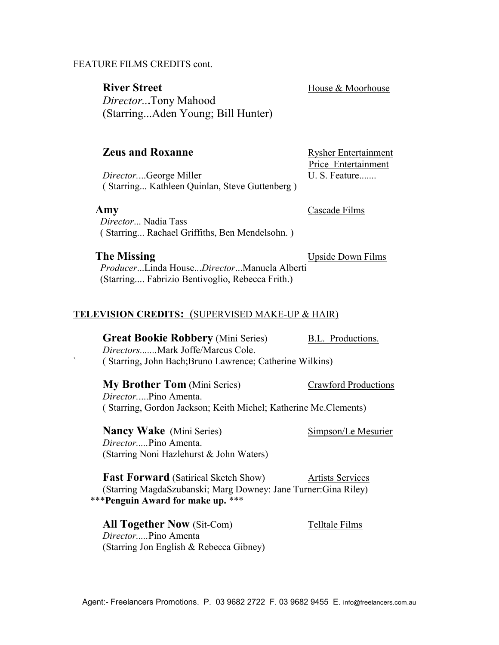## FEATURE FILMS CREDITS cont.

River Street House & Moorhouse Director...Tony Mahood (Starring...Aden Young; Bill Hunter)

Price Entertainment

## **Zeus and Roxanne** Rysher Entertainment

Director....George Miller U.S. Feature....... ( Starring... Kathleen Quinlan, Steve Guttenberg )

Amy Cascade Films

 Director... Nadia Tass ( Starring... Rachael Griffiths, Ben Mendelsohn. )

**The Missing Company** Upside Down Films

 Producer...Linda House...Director...Manuela Alberti (Starring.... Fabrizio Bentivoglio, Rebecca Frith.)

### TELEVISION CREDITS: (SUPERVISED MAKE-UP & HAIR)

**Great Bookie Robbery** (Mini Series) B.L. Productions. Directors.......Mark Joffe/Marcus Cole. ` ( Starring, John Bach;Bruno Lawrence; Catherine Wilkins)

## **My Brother Tom** (Mini Series) Crawford Productions

Director.....Pino Amenta. ( Starring, Gordon Jackson; Keith Michel; Katherine Mc.Clements)

Nancy Wake (Mini Series) Simpson/Le Mesurier Director.....Pino Amenta. (Starring Noni Hazlehurst & John Waters)

**Fast Forward** (Satirical Sketch Show) Artists Services (Starring MagdaSzubanski; Marg Downey: Jane Turner:Gina Riley) \*\*\*Penguin Award for make up. \*\*\*

All Together Now (Sit-Com) Telltale Films Director.....Pino Amenta (Starring Jon English & Rebecca Gibney)